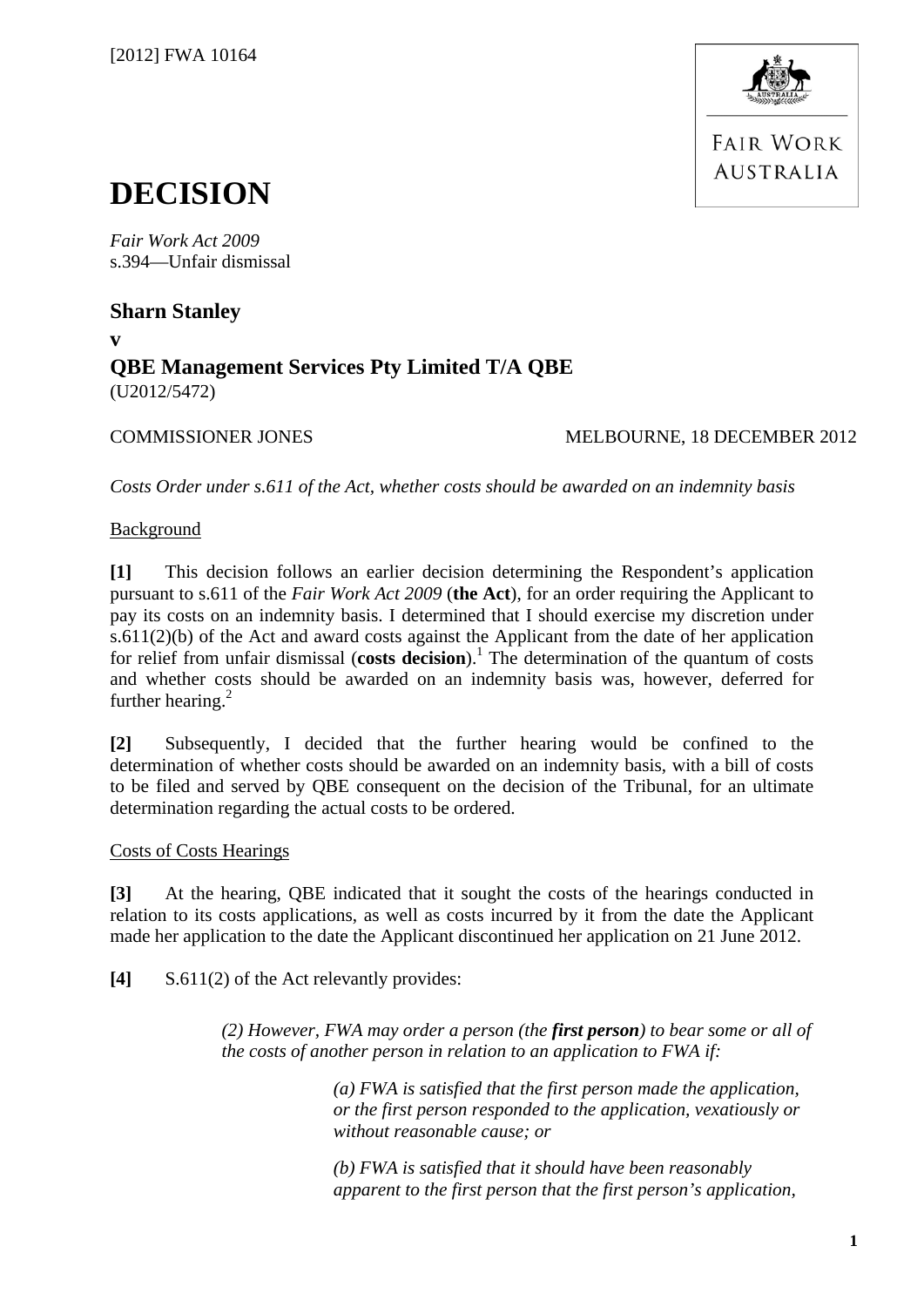

**FAIR WORK AUSTRALIA** 

# **DECISION**

*Fair Work Act 2009*  s.394—Unfair dismissal

**Sharn Stanley** 

**v** 

# **QBE Management Services Pty Limited T/A QBE**  (U2012/5472)

# COMMISSIONER JONES MELBOURNE, 18 DECEMBER 2012

*Costs Order under s.611 of the Act, whether costs should be awarded on an indemnity basis* 

# Background

**[1]** This decision follows an earlier decision determining the Respondent's application pursuant to s.611 of the *Fair Work Act 2009* (**the Act**), for an order requiring the Applicant to pay its costs on an indemnity basis. I determined that I should exercise my discretion under s.611(2)(b) of the Act and award costs against the Applicant from the date of her application for relief from unfair dismissal (costs decision).<sup>1</sup> The determination of the quantum of costs and whether costs should be awarded on an indemnity basis was, however, deferred for further hearing. $2$ 

**[2]** Subsequently, I decided that the further hearing would be confined to the determination of whether costs should be awarded on an indemnity basis, with a bill of costs to be filed and served by QBE consequent on the decision of the Tribunal, for an ultimate determination regarding the actual costs to be ordered.

## Costs of Costs Hearings

**[3]** At the hearing, QBE indicated that it sought the costs of the hearings conducted in relation to its costs applications, as well as costs incurred by it from the date the Applicant made her application to the date the Applicant discontinued her application on 21 June 2012.

**[4]** S.611(2) of the Act relevantly provides:

*(2) However, FWA may order a person (the first person) to bear some or all of the costs of another person in relation to an application to FWA if:* 

> *(a) FWA is satisfied that the first person made the application, or the first person responded to the application, vexatiously or without reasonable cause; or*

> *(b) FWA is satisfied that it should have been reasonably apparent to the first person that the first person's application,*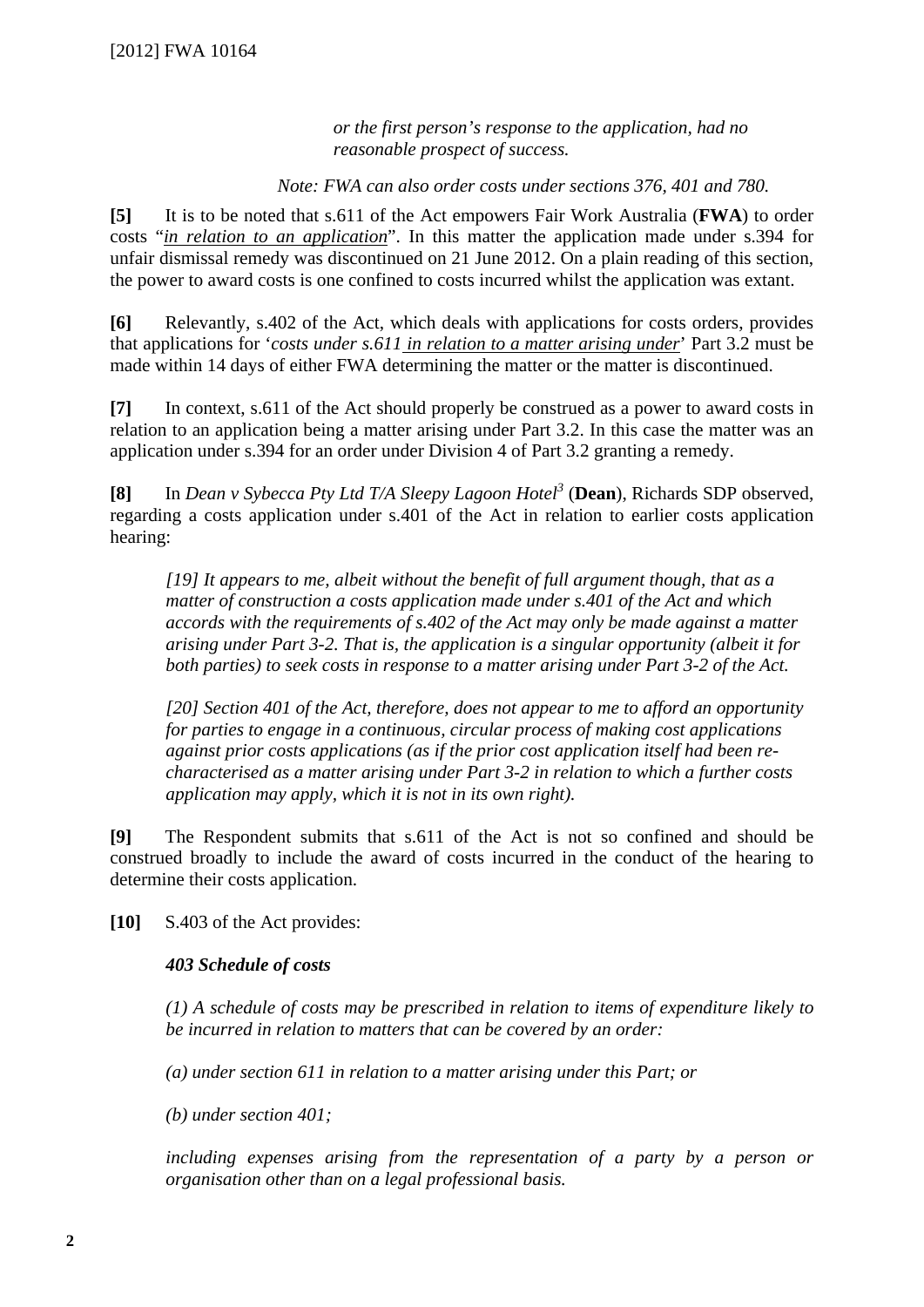*or the first person's response to the application, had no reasonable prospect of success.* 

*Note: FWA can also order costs under sections 376, 401 and 780.* 

**[5]** It is to be noted that s.611 of the Act empowers Fair Work Australia (**FWA**) to order costs "*in relation to an application*". In this matter the application made under s.394 for unfair dismissal remedy was discontinued on 21 June 2012. On a plain reading of this section, the power to award costs is one confined to costs incurred whilst the application was extant.

**[6]** Relevantly, s.402 of the Act, which deals with applications for costs orders, provides that applications for '*costs under s.611 in relation to a matter arising under*' Part 3.2 must be made within 14 days of either FWA determining the matter or the matter is discontinued.

**[7]** In context, s.611 of the Act should properly be construed as a power to award costs in relation to an application being a matter arising under Part 3.2. In this case the matter was an application under s.394 for an order under Division 4 of Part 3.2 granting a remedy.

**[8]** In *Dean v Sybecca Pty Ltd T/A Sleepy Lagoon Hotel3* (**Dean**), Richards SDP observed, regarding a costs application under s.401 of the Act in relation to earlier costs application hearing:

*[19] It appears to me, albeit without the benefit of full argument though, that as a matter of construction a costs application made under s.401 of the Act and which accords with the requirements of s.402 of the Act may only be made against a matter arising under Part 3-2. That is, the application is a singular opportunity (albeit it for both parties) to seek costs in response to a matter arising under Part 3-2 of the Act.* 

*[20] Section 401 of the Act, therefore, does not appear to me to afford an opportunity for parties to engage in a continuous, circular process of making cost applications against prior costs applications (as if the prior cost application itself had been recharacterised as a matter arising under Part 3-2 in relation to which a further costs application may apply, which it is not in its own right).* 

**[9]** The Respondent submits that s.611 of the Act is not so confined and should be construed broadly to include the award of costs incurred in the conduct of the hearing to determine their costs application.

**[10]** S.403 of the Act provides:

### *403 Schedule of costs*

*(1) A schedule of costs may be prescribed in relation to items of expenditure likely to be incurred in relation to matters that can be covered by an order:* 

*(a) under section 611 in relation to a matter arising under this Part; or* 

*(b) under section 401;* 

*including expenses arising from the representation of a party by a person or organisation other than on a legal professional basis.*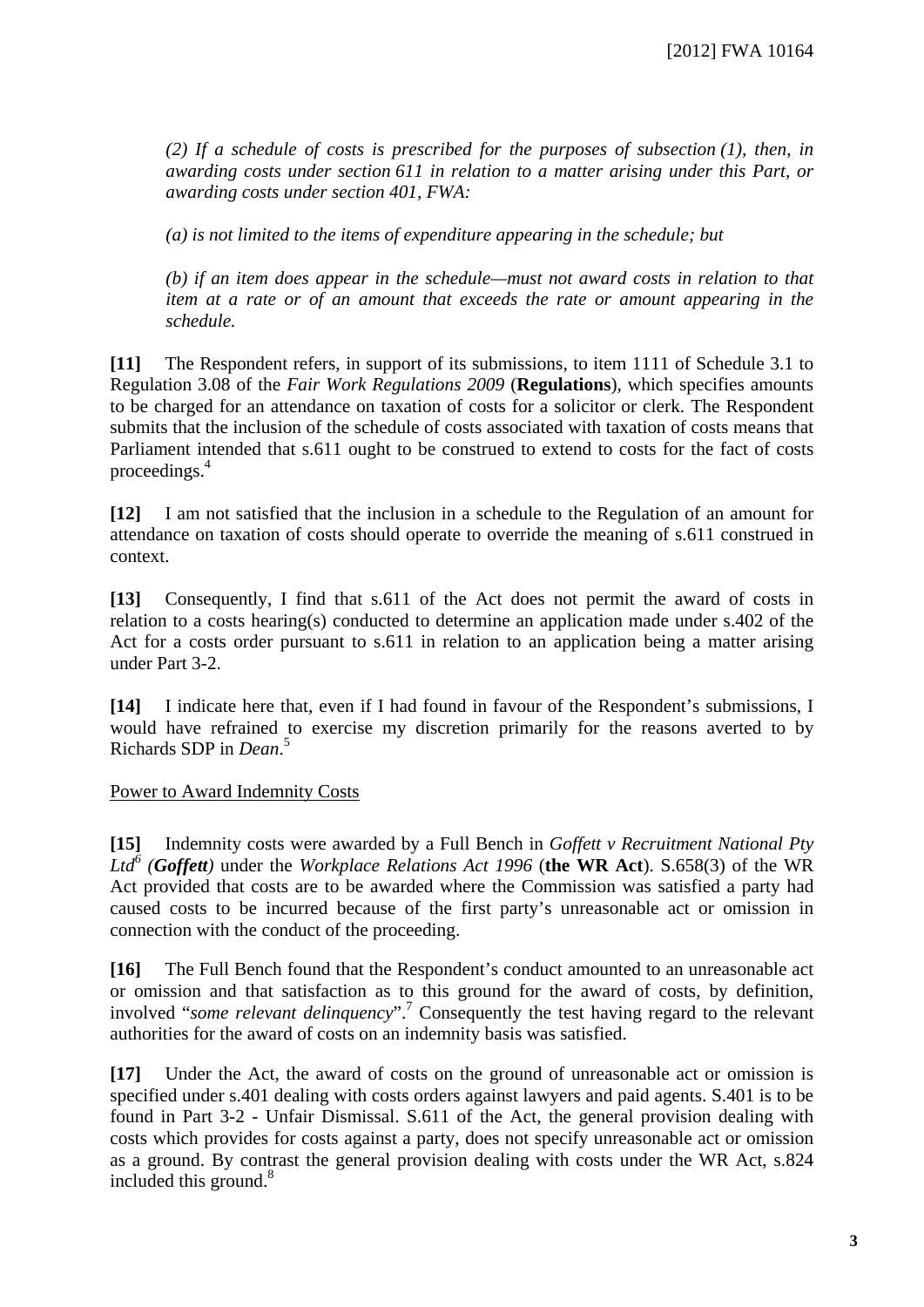*(2) If a schedule of costs is prescribed for the purposes of subsection (1), then, in awarding costs under section 611 in relation to a matter arising under this Part, or awarding costs under section 401, FWA:* 

*(a) is not limited to the items of expenditure appearing in the schedule; but* 

*(b) if an item does appear in the schedule—must not award costs in relation to that item at a rate or of an amount that exceeds the rate or amount appearing in the schedule.* 

**[11]** The Respondent refers, in support of its submissions, to item 1111 of Schedule 3.1 to Regulation 3.08 of the *Fair Work Regulations 2009* (**Regulations**), which specifies amounts to be charged for an attendance on taxation of costs for a solicitor or clerk. The Respondent submits that the inclusion of the schedule of costs associated with taxation of costs means that Parliament intended that s.611 ought to be construed to extend to costs for the fact of costs proceedings.4

**[12]** I am not satisfied that the inclusion in a schedule to the Regulation of an amount for attendance on taxation of costs should operate to override the meaning of s.611 construed in context.

**[13]** Consequently, I find that s.611 of the Act does not permit the award of costs in relation to a costs hearing(s) conducted to determine an application made under s.402 of the Act for a costs order pursuant to s.611 in relation to an application being a matter arising under Part 3-2.

**[14]** I indicate here that, even if I had found in favour of the Respondent's submissions, I would have refrained to exercise my discretion primarily for the reasons averted to by Richards SDP in *Dean*. 5

Power to Award Indemnity Costs

**[15]** Indemnity costs were awarded by a Full Bench in *Goffett v Recruitment National Pty Ltd<sup>6</sup> (Goffett)* under the *Workplace Relations Act 1996* (**the WR Act**). S.658(3) of the WR Act provided that costs are to be awarded where the Commission was satisfied a party had caused costs to be incurred because of the first party's unreasonable act or omission in connection with the conduct of the proceeding.

**[16]** The Full Bench found that the Respondent's conduct amounted to an unreasonable act or omission and that satisfaction as to this ground for the award of costs, by definition, involved "*some relevant delinquency*".7 Consequently the test having regard to the relevant authorities for the award of costs on an indemnity basis was satisfied.

**[17]** Under the Act, the award of costs on the ground of unreasonable act or omission is specified under s.401 dealing with costs orders against lawyers and paid agents. S.401 is to be found in Part 3-2 - Unfair Dismissal. S.611 of the Act, the general provision dealing with costs which provides for costs against a party, does not specify unreasonable act or omission as a ground. By contrast the general provision dealing with costs under the WR Act, s.824 included this ground. $8$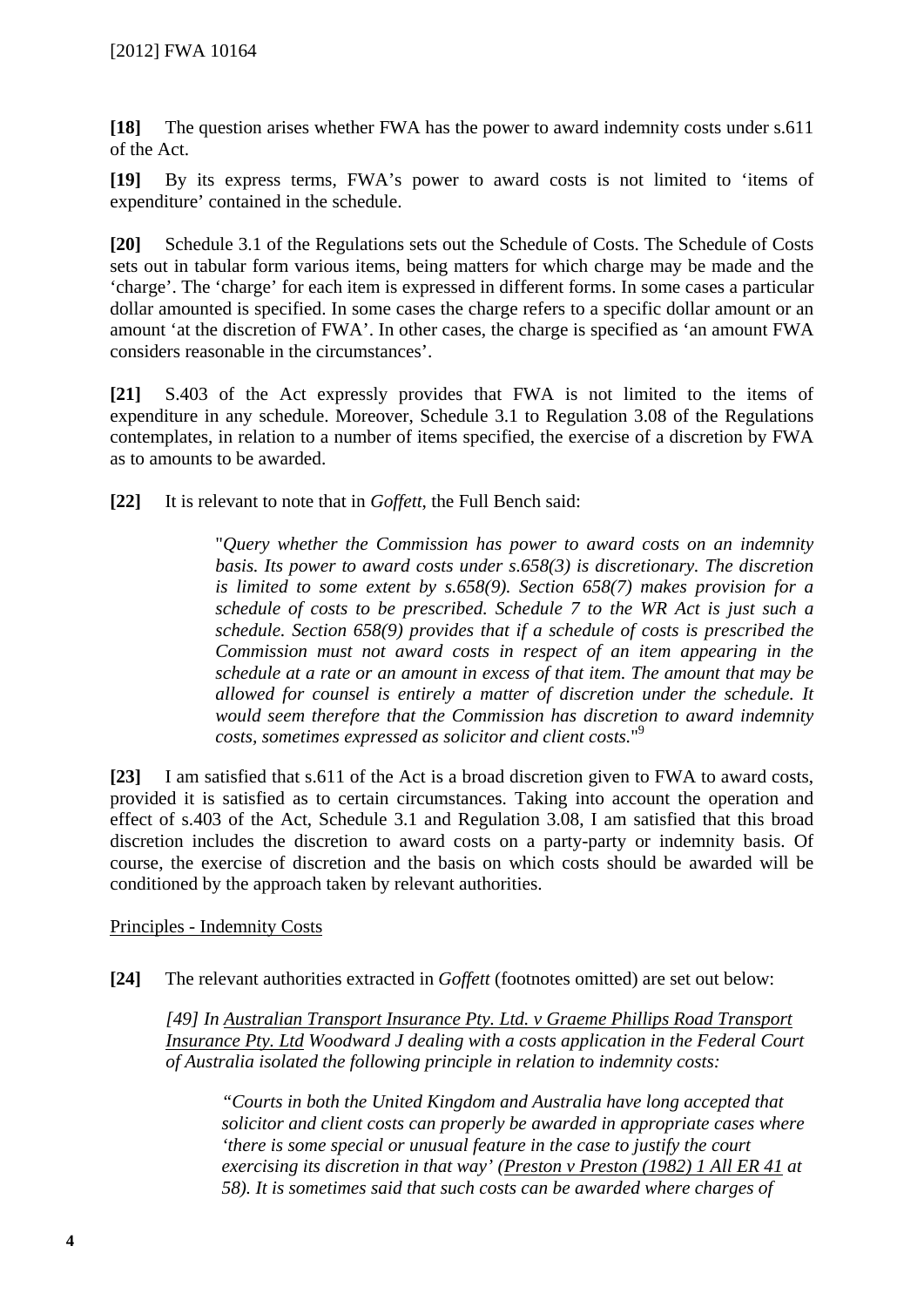**[18]** The question arises whether FWA has the power to award indemnity costs under s.611 of the Act.

**[19]** By its express terms, FWA's power to award costs is not limited to 'items of expenditure' contained in the schedule.

**[20]** Schedule 3.1 of the Regulations sets out the Schedule of Costs. The Schedule of Costs sets out in tabular form various items, being matters for which charge may be made and the 'charge'. The 'charge' for each item is expressed in different forms. In some cases a particular dollar amounted is specified. In some cases the charge refers to a specific dollar amount or an amount 'at the discretion of FWA'. In other cases, the charge is specified as 'an amount FWA considers reasonable in the circumstances'.

**[21]** S.403 of the Act expressly provides that FWA is not limited to the items of expenditure in any schedule. Moreover, Schedule 3.1 to Regulation 3.08 of the Regulations contemplates, in relation to a number of items specified, the exercise of a discretion by FWA as to amounts to be awarded.

**[22]** It is relevant to note that in *Goffett*, the Full Bench said:

"*Query whether the Commission has power to award costs on an indemnity basis. Its power to award costs under s.658(3) is discretionary. The discretion is limited to some extent by s.658(9). Section 658(7) makes provision for a schedule of costs to be prescribed. Schedule 7 to the WR Act is just such a schedule. Section 658(9) provides that if a schedule of costs is prescribed the Commission must not award costs in respect of an item appearing in the schedule at a rate or an amount in excess of that item. The amount that may be allowed for counsel is entirely a matter of discretion under the schedule. It would seem therefore that the Commission has discretion to award indemnity costs, sometimes expressed as solicitor and client costs.*" 9

**[23]** I am satisfied that s.611 of the Act is a broad discretion given to FWA to award costs, provided it is satisfied as to certain circumstances. Taking into account the operation and effect of s.403 of the Act, Schedule 3.1 and Regulation 3.08, I am satisfied that this broad discretion includes the discretion to award costs on a party-party or indemnity basis. Of course, the exercise of discretion and the basis on which costs should be awarded will be conditioned by the approach taken by relevant authorities.

Principles - Indemnity Costs

**[24]** The relevant authorities extracted in *Goffett* (footnotes omitted) are set out below:

*[49] In Australian Transport Insurance Pty. Ltd. v Graeme Phillips Road Transport Insurance Pty. Ltd Woodward J dealing with a costs application in the Federal Court of Australia isolated the following principle in relation to indemnity costs:* 

*"Courts in both the United Kingdom and Australia have long accepted that solicitor and client costs can properly be awarded in appropriate cases where 'there is some special or unusual feature in the case to justify the court exercising its discretion in that way' (Preston v Preston (1982) 1 All ER 41 at 58). It is sometimes said that such costs can be awarded where charges of*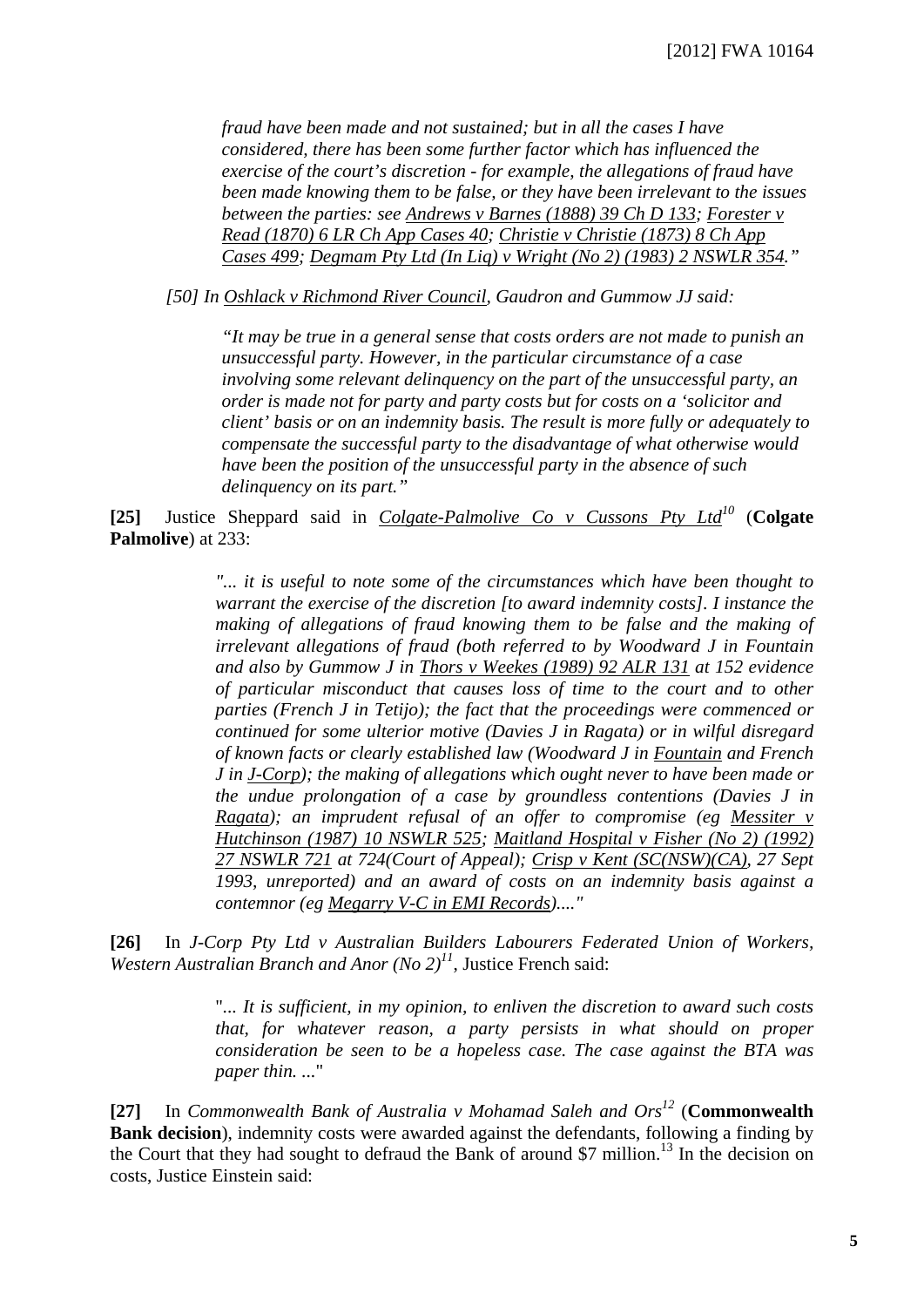*fraud have been made and not sustained; but in all the cases I have considered, there has been some further factor which has influenced the exercise of the court's discretion - for example, the allegations of fraud have been made knowing them to be false, or they have been irrelevant to the issues between the parties: see Andrews v Barnes (1888) 39 Ch D 133; Forester v Read (1870) 6 LR Ch App Cases 40; Christie v Christie (1873) 8 Ch App Cases 499; Degmam Pty Ltd (In Liq) v Wright (No 2) (1983) 2 NSWLR 354."* 

*[50] In Oshlack v Richmond River Council, Gaudron and Gummow JJ said:* 

*"It may be true in a general sense that costs orders are not made to punish an unsuccessful party. However, in the particular circumstance of a case involving some relevant delinquency on the part of the unsuccessful party, an order is made not for party and party costs but for costs on a 'solicitor and client' basis or on an indemnity basis. The result is more fully or adequately to compensate the successful party to the disadvantage of what otherwise would have been the position of the unsuccessful party in the absence of such delinquency on its part."*

**[25]** Justice Sheppard said in *Colgate-Palmolive Co v Cussons Pty Ltd10* (**Colgate Palmolive**) at 233:

> *"... it is useful to note some of the circumstances which have been thought to warrant the exercise of the discretion [to award indemnity costs]. I instance the making of allegations of fraud knowing them to be false and the making of irrelevant allegations of fraud (both referred to by Woodward J in Fountain and also by Gummow J in Thors v Weekes (1989) 92 ALR 131 at 152 evidence of particular misconduct that causes loss of time to the court and to other parties (French J in Tetijo); the fact that the proceedings were commenced or continued for some ulterior motive (Davies J in Ragata) or in wilful disregard of known facts or clearly established law (Woodward J in Fountain and French J in J-Corp); the making of allegations which ought never to have been made or the undue prolongation of a case by groundless contentions (Davies J in Ragata); an imprudent refusal of an offer to compromise (eg Messiter v Hutchinson (1987) 10 NSWLR 525; Maitland Hospital v Fisher (No 2) (1992) 27 NSWLR 721 at 724(Court of Appeal); Crisp v Kent (SC(NSW)(CA), 27 Sept 1993, unreported) and an award of costs on an indemnity basis against a contemnor (eg Megarry V-C in EMI Records)...."*

**[26]** In *J-Corp Pty Ltd v Australian Builders Labourers Federated Union of Workers, Western Australian Branch and Anor (No 2)11*, Justice French said:

> "*... It is sufficient, in my opinion, to enliven the discretion to award such costs that, for whatever reason, a party persists in what should on proper consideration be seen to be a hopeless case. The case against the BTA was paper thin. ...*"

**[27]** In *Commonwealth Bank of Australia v Mohamad Saleh and Ors12* (**Commonwealth Bank decision**), indemnity costs were awarded against the defendants, following a finding by the Court that they had sought to defraud the Bank of around \$7 million.<sup>13</sup> In the decision on costs, Justice Einstein said: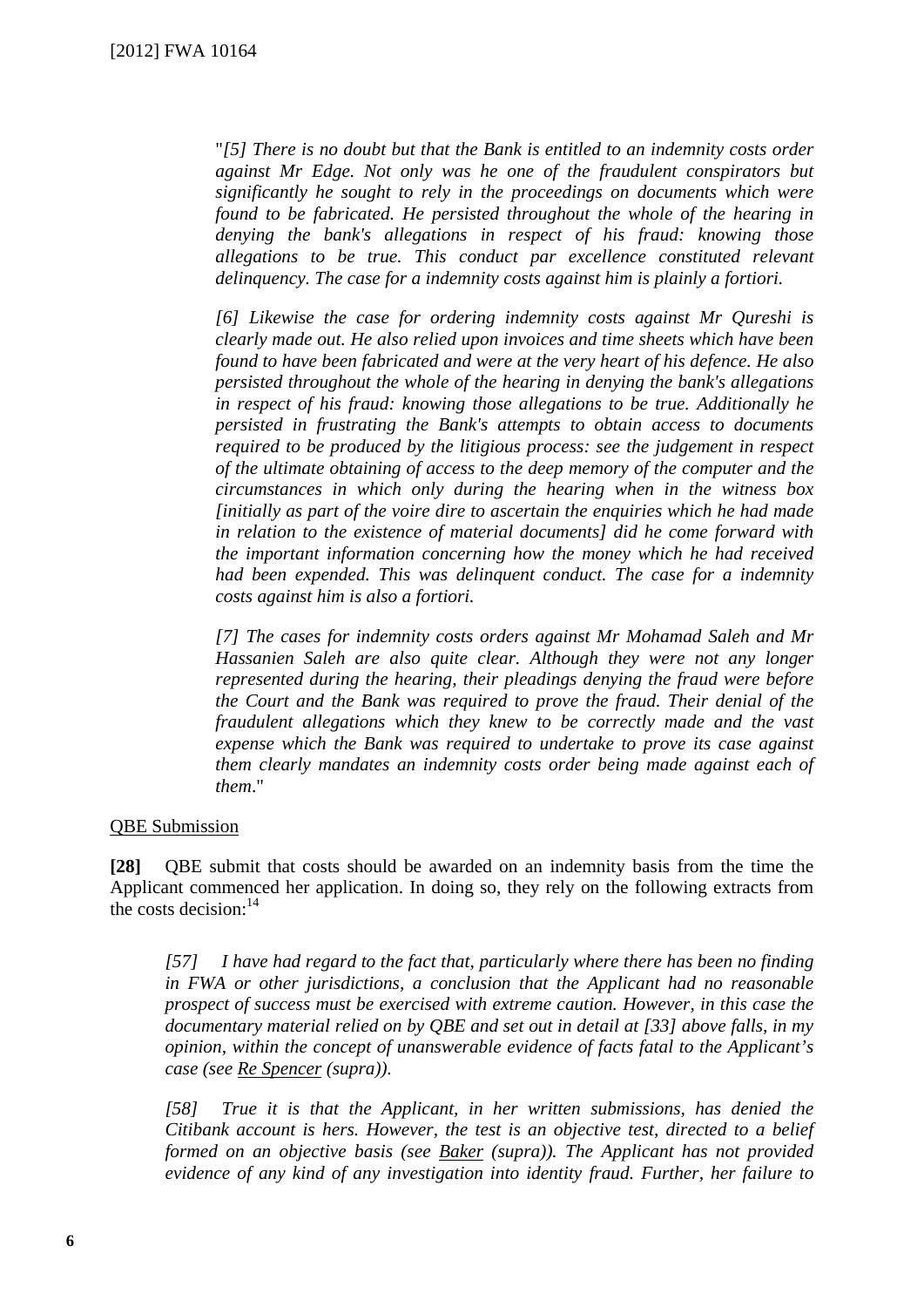"*[5] There is no doubt but that the Bank is entitled to an indemnity costs order against Mr Edge. Not only was he one of the fraudulent conspirators but significantly he sought to rely in the proceedings on documents which were found to be fabricated. He persisted throughout the whole of the hearing in denying the bank's allegations in respect of his fraud: knowing those allegations to be true. This conduct par excellence constituted relevant delinquency. The case for a indemnity costs against him is plainly a fortiori.*

*[6] Likewise the case for ordering indemnity costs against Mr Qureshi is clearly made out. He also relied upon invoices and time sheets which have been found to have been fabricated and were at the very heart of his defence. He also persisted throughout the whole of the hearing in denying the bank's allegations in respect of his fraud: knowing those allegations to be true. Additionally he persisted in frustrating the Bank's attempts to obtain access to documents required to be produced by the litigious process: see the judgement in respect of the ultimate obtaining of access to the deep memory of the computer and the circumstances in which only during the hearing when in the witness box [initially as part of the voire dire to ascertain the enquiries which he had made in relation to the existence of material documents] did he come forward with the important information concerning how the money which he had received had been expended. This was delinquent conduct. The case for a indemnity costs against him is also a fortiori.* 

*[7] The cases for indemnity costs orders against Mr Mohamad Saleh and Mr Hassanien Saleh are also quite clear. Although they were not any longer represented during the hearing, their pleadings denying the fraud were before the Court and the Bank was required to prove the fraud. Their denial of the fraudulent allegations which they knew to be correctly made and the vast expense which the Bank was required to undertake to prove its case against them clearly mandates an indemnity costs order being made against each of them*."

#### QBE Submission

**[28]** QBE submit that costs should be awarded on an indemnity basis from the time the Applicant commenced her application. In doing so, they rely on the following extracts from the costs decision:<sup>14</sup>

*[57] I have had regard to the fact that, particularly where there has been no finding in FWA or other jurisdictions, a conclusion that the Applicant had no reasonable prospect of success must be exercised with extreme caution. However, in this case the documentary material relied on by QBE and set out in detail at [33] above falls, in my opinion, within the concept of unanswerable evidence of facts fatal to the Applicant's case (see Re Spencer (supra)).* 

*[58] True it is that the Applicant, in her written submissions, has denied the Citibank account is hers. However, the test is an objective test, directed to a belief formed on an objective basis (see Baker (supra)). The Applicant has not provided evidence of any kind of any investigation into identity fraud. Further, her failure to*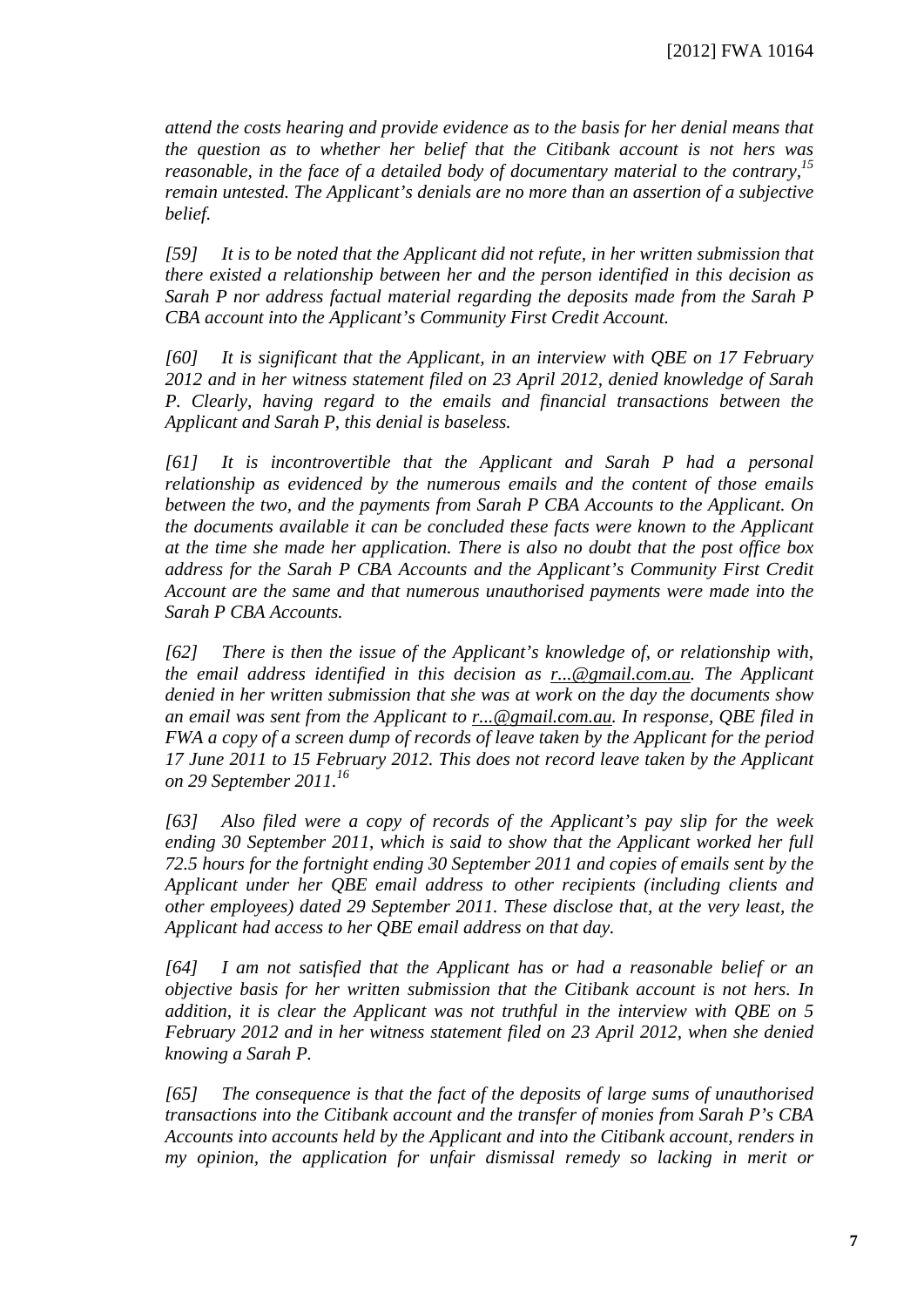*attend the costs hearing and provide evidence as to the basis for her denial means that the question as to whether her belief that the Citibank account is not hers was reasonable, in the face of a detailed body of documentary material to the contrary,15 remain untested. The Applicant's denials are no more than an assertion of a subjective belief.* 

*[59] It is to be noted that the Applicant did not refute, in her written submission that there existed a relationship between her and the person identified in this decision as Sarah P nor address factual material regarding the deposits made from the Sarah P CBA account into the Applicant's Community First Credit Account.* 

*[60] It is significant that the Applicant, in an interview with QBE on 17 February 2012 and in her witness statement filed on 23 April 2012, denied knowledge of Sarah P. Clearly, having regard to the emails and financial transactions between the Applicant and Sarah P, this denial is baseless.* 

*[61] It is incontrovertible that the Applicant and Sarah P had a personal relationship as evidenced by the numerous emails and the content of those emails between the two, and the payments from Sarah P CBA Accounts to the Applicant. On the documents available it can be concluded these facts were known to the Applicant at the time she made her application. There is also no doubt that the post office box address for the Sarah P CBA Accounts and the Applicant's Community First Credit Account are the same and that numerous unauthorised payments were made into the Sarah P CBA Accounts.* 

*[62] There is then the issue of the Applicant's knowledge of, or relationship with, the email address identified in this decision as r...@gmail.com.au. The Applicant denied in her written submission that she was at work on the day the documents show an email was sent from the Applicant to r...@gmail.com.au. In response, QBE filed in FWA a copy of a screen dump of records of leave taken by the Applicant for the period 17 June 2011 to 15 February 2012. This does not record leave taken by the Applicant on 29 September 2011.16*

*[63] Also filed were a copy of records of the Applicant's pay slip for the week ending 30 September 2011, which is said to show that the Applicant worked her full 72.5 hours for the fortnight ending 30 September 2011 and copies of emails sent by the Applicant under her QBE email address to other recipients (including clients and other employees) dated 29 September 2011. These disclose that, at the very least, the Applicant had access to her QBE email address on that day.* 

*[64] I am not satisfied that the Applicant has or had a reasonable belief or an objective basis for her written submission that the Citibank account is not hers. In addition, it is clear the Applicant was not truthful in the interview with QBE on 5 February 2012 and in her witness statement filed on 23 April 2012, when she denied knowing a Sarah P.* 

*[65] The consequence is that the fact of the deposits of large sums of unauthorised transactions into the Citibank account and the transfer of monies from Sarah P's CBA Accounts into accounts held by the Applicant and into the Citibank account, renders in my opinion, the application for unfair dismissal remedy so lacking in merit or*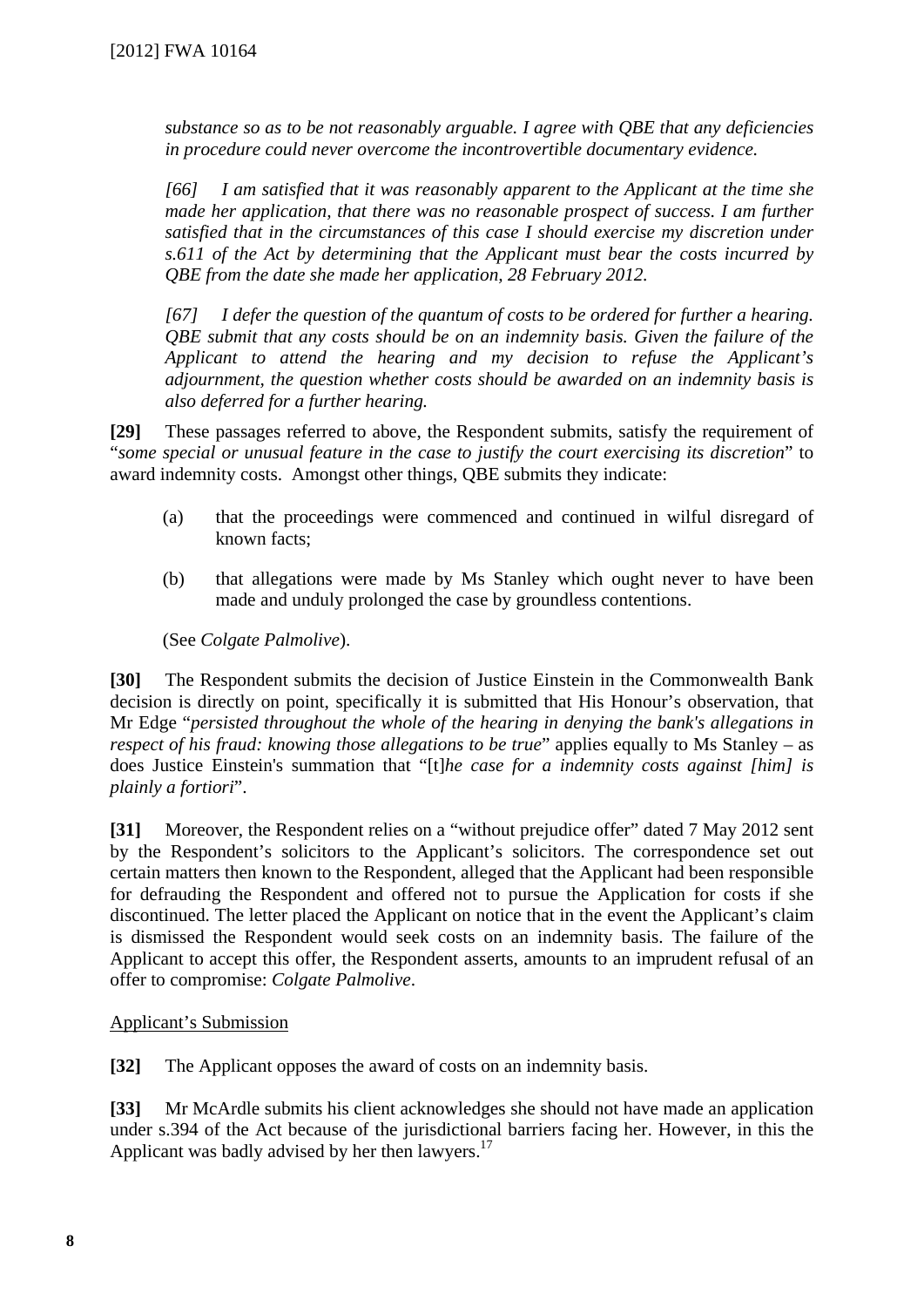*substance so as to be not reasonably arguable. I agree with QBE that any deficiencies in procedure could never overcome the incontrovertible documentary evidence.* 

*[66] I am satisfied that it was reasonably apparent to the Applicant at the time she made her application, that there was no reasonable prospect of success. I am further satisfied that in the circumstances of this case I should exercise my discretion under s.611 of the Act by determining that the Applicant must bear the costs incurred by QBE from the date she made her application, 28 February 2012.* 

*[67] I defer the question of the quantum of costs to be ordered for further a hearing. QBE submit that any costs should be on an indemnity basis. Given the failure of the Applicant to attend the hearing and my decision to refuse the Applicant's adjournment, the question whether costs should be awarded on an indemnity basis is also deferred for a further hearing.*

**[29]** These passages referred to above, the Respondent submits, satisfy the requirement of "*some special or unusual feature in the case to justify the court exercising its discretion*" to award indemnity costs. Amongst other things, QBE submits they indicate:

- (a) that the proceedings were commenced and continued in wilful disregard of known facts;
- (b) that allegations were made by Ms Stanley which ought never to have been made and unduly prolonged the case by groundless contentions.

(See *Colgate Palmolive*).

**[30]** The Respondent submits the decision of Justice Einstein in the Commonwealth Bank decision is directly on point, specifically it is submitted that His Honour's observation, that Mr Edge "*persisted throughout the whole of the hearing in denying the bank's allegations in respect of his fraud: knowing those allegations to be true*" applies equally to Ms Stanley – as does Justice Einstein's summation that "[t]*he case for a indemnity costs against [him] is plainly a fortiori*".

**[31]** Moreover, the Respondent relies on a "without prejudice offer" dated 7 May 2012 sent by the Respondent's solicitors to the Applicant's solicitors. The correspondence set out certain matters then known to the Respondent, alleged that the Applicant had been responsible for defrauding the Respondent and offered not to pursue the Application for costs if she discontinued. The letter placed the Applicant on notice that in the event the Applicant's claim is dismissed the Respondent would seek costs on an indemnity basis. The failure of the Applicant to accept this offer, the Respondent asserts, amounts to an imprudent refusal of an offer to compromise: *Colgate Palmolive*.

### Applicant's Submission

**[32]** The Applicant opposes the award of costs on an indemnity basis.

**[33]** Mr McArdle submits his client acknowledges she should not have made an application under s.394 of the Act because of the jurisdictional barriers facing her. However, in this the Applicant was badly advised by her then lawyers.<sup>17</sup>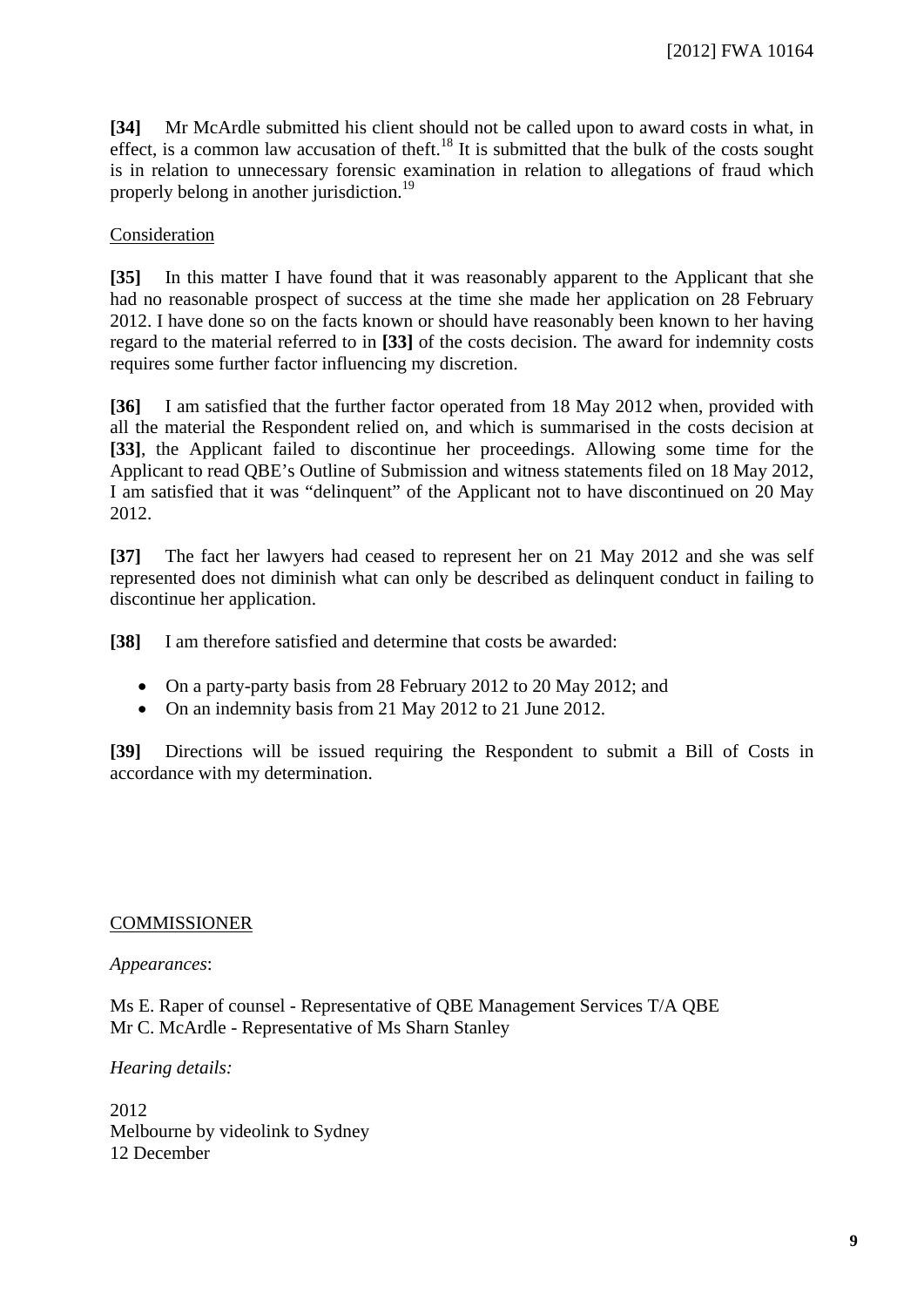**[34]** Mr McArdle submitted his client should not be called upon to award costs in what, in effect, is a common law accusation of theft.<sup>18</sup> It is submitted that the bulk of the costs sought is in relation to unnecessary forensic examination in relation to allegations of fraud which properly belong in another jurisdiction.<sup>19</sup>

#### Consideration

**[35]** In this matter I have found that it was reasonably apparent to the Applicant that she had no reasonable prospect of success at the time she made her application on 28 February 2012. I have done so on the facts known or should have reasonably been known to her having regard to the material referred to in **[33]** of the costs decision. The award for indemnity costs requires some further factor influencing my discretion.

**[36]** I am satisfied that the further factor operated from 18 May 2012 when, provided with all the material the Respondent relied on, and which is summarised in the costs decision at **[33]**, the Applicant failed to discontinue her proceedings. Allowing some time for the Applicant to read QBE's Outline of Submission and witness statements filed on 18 May 2012, I am satisfied that it was "delinquent" of the Applicant not to have discontinued on 20 May 2012.

**[37]** The fact her lawyers had ceased to represent her on 21 May 2012 and she was self represented does not diminish what can only be described as delinquent conduct in failing to discontinue her application.

**[38]** I am therefore satisfied and determine that costs be awarded:

- On a party-party basis from 28 February 2012 to 20 May 2012; and
- On an indemnity basis from 21 May 2012 to 21 June 2012.

**[39]** Directions will be issued requiring the Respondent to submit a Bill of Costs in accordance with my determination.

#### COMMISSIONER

#### *Appearances*:

Ms E. Raper of counsel - Representative of QBE Management Services T/A QBE Mr C. McArdle - Representative of Ms Sharn Stanley

#### *Hearing details:*

2012 Melbourne by videolink to Sydney 12 December